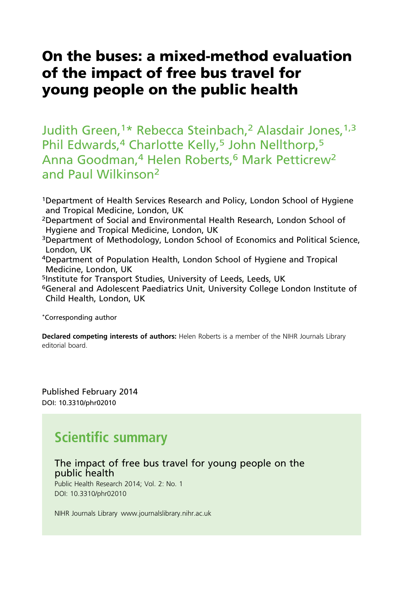# On the buses: a mixed-method evaluation of the impact of free bus travel for young people on the public health

Judith Green,<sup>1\*</sup> Rebecca Steinbach,<sup>2</sup> Alasdair Jones,<sup>1,3</sup> Phil Edwards,<sup>4</sup> Charlotte Kelly,<sup>5</sup> John Nellthorp,<sup>5</sup> Anna Goodman,<sup>4</sup> Helen Roberts,<sup>6</sup> Mark Petticrew<sup>2</sup> and Paul Wilkinson<sup>2</sup>

1Department of Health Services Research and Policy, London School of Hygiene and Tropical Medicine, London, UK

2Department of Social and Environmental Health Research, London School of Hygiene and Tropical Medicine, London, UK

3Department of Methodology, London School of Economics and Political Science, London, UK

4Department of Population Health, London School of Hygiene and Tropical Medicine, London, UK

5Institute for Transport Studies, University of Leeds, Leeds, UK

6General and Adolescent Paediatrics Unit, University College London Institute of Child Health, London, UK

\*Corresponding author

Declared competing interests of authors: Helen Roberts is a member of the NIHR Journals Library editorial board.

Published February 2014 DOI: 10.3310/phr02010

# Scientific summary

# The impact of free bus travel for young people on the public health

Public Health Research 2014; Vol. 2: No. 1 DOI: 10.3310/phr02010

NIHR Journals Library www.journalslibrary.nihr.ac.uk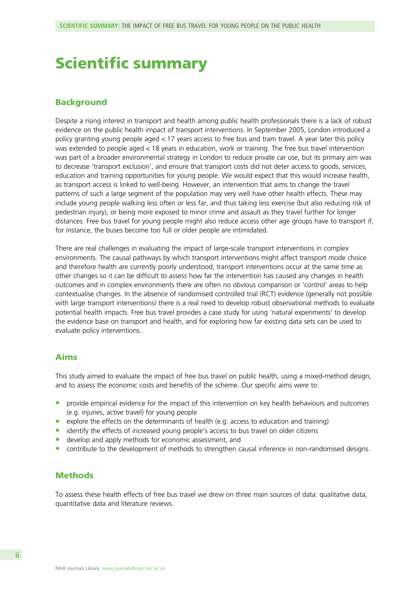# Scientific summary

### Background

Despite a rising interest in transport and health among public health professionals there is a lack of robust evidence on the public health impact of transport interventions. In September 2005, London introduced a policy granting young people aged < 17 years access to free bus and tram travel. A year later this policy was extended to people aged < 18 years in education, work or training. The free bus travel intervention was part of a broader environmental strategy in London to reduce private car use, but its primary aim was to decrease 'transport exclusion', and ensure that transport costs did not deter access to goods, services, education and training opportunities for young people. We would expect that this would increase health, as transport access is linked to well-being. However, an intervention that aims to change the travel patterns of such a large segment of the population may very well have other health effects. These may include young people walking less often or less far, and thus taking less exercise (but also reducing risk of pedestrian injury), or being more exposed to minor crime and assault as they travel further for longer distances. Free bus travel for young people might also reduce access other age groups have to transport if, for instance, the buses become too full or older people are intimidated.

There are real challenges in evaluating the impact of large-scale transport interventions in complex environments. The causal pathways by which transport interventions might affect transport mode choice and therefore health are currently poorly understood; transport interventions occur at the same time as other changes so it can be difficult to assess how far the intervention has caused any changes in health outcomes and in complex environments there are often no obvious comparison or 'control' areas to help contextualise changes. In the absence of randomised controlled trial (RCT) evidence (generally not possible with large transport interventions) there is a real need to develop robust observational methods to evaluate potential health impacts. Free bus travel provides a case study for using 'natural experiments' to develop the evidence base on transport and health, and for exploring how far existing data sets can be used to evaluate policy interventions.

## Aims

This study aimed to evaluate the impact of free bus travel on public health, using a mixed-method design, and to assess the economic costs and benefits of the scheme. Our specific aims were to:

- $\bullet$  provide empirical evidence for the impact of this intervention on key health behaviours and outcomes (e.g. injuries, active travel) for young people
- explore the effects on the determinants of health (e.g. access to education and training)
- identify the effects of increased young people's access to bus travel on older citizens
- develop and apply methods for economic assessment, and
- contribute to the development of methods to strengthen causal inference in non-randomised designs.

## **Methods**

To assess these health effects of free bus travel we drew on three main sources of data: qualitative data, quantitative data and literature reviews.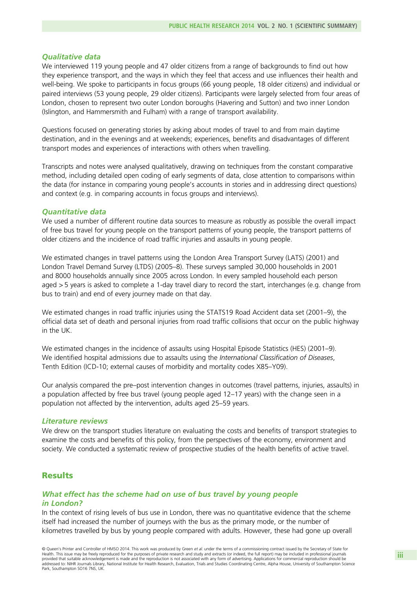#### Qualitative data

We interviewed 119 young people and 47 older citizens from a range of backgrounds to find out how they experience transport, and the ways in which they feel that access and use influences their health and well-being. We spoke to participants in focus groups (66 young people, 18 older citizens) and individual or paired interviews (53 young people, 29 older citizens). Participants were largely selected from four areas of London, chosen to represent two outer London boroughs (Havering and Sutton) and two inner London (Islington, and Hammersmith and Fulham) with a range of transport availability.

Questions focused on generating stories by asking about modes of travel to and from main daytime destination, and in the evenings and at weekends; experiences, benefits and disadvantages of different transport modes and experiences of interactions with others when travelling.

Transcripts and notes were analysed qualitatively, drawing on techniques from the constant comparative method, including detailed open coding of early segments of data, close attention to comparisons within the data (for instance in comparing young people's accounts in stories and in addressing direct questions) and context (e.g. in comparing accounts in focus groups and interviews).

#### Quantitative data

We used a number of different routine data sources to measure as robustly as possible the overall impact of free bus travel for young people on the transport patterns of young people, the transport patterns of older citizens and the incidence of road traffic injuries and assaults in young people.

We estimated changes in travel patterns using the London Area Transport Survey (LATS) (2001) and London Travel Demand Survey (LTDS) (2005–8). These surveys sampled 30,000 households in 2001 and 8000 households annually since 2005 across London. In every sampled household each person aged > 5 years is asked to complete a 1-day travel diary to record the start, interchanges (e.g. change from bus to train) and end of every journey made on that day.

We estimated changes in road traffic injuries using the STATS19 Road Accident data set (2001–9), the official data set of death and personal injuries from road traffic collisions that occur on the public highway in the UK.

We estimated changes in the incidence of assaults using Hospital Episode Statistics (HES) (2001–9). We identified hospital admissions due to assaults using the International Classification of Diseases, Tenth Edition (ICD-10; external causes of morbidity and mortality codes X85–Y09).

Our analysis compared the pre–post intervention changes in outcomes (travel patterns, injuries, assaults) in a population affected by free bus travel (young people aged 12–17 years) with the change seen in a population not affected by the intervention, adults aged 25–59 years.

#### Literature reviews

We drew on the transport studies literature on evaluating the costs and benefits of transport strategies to examine the costs and benefits of this policy, from the perspectives of the economy, environment and society. We conducted a systematic review of prospective studies of the health benefits of active travel.

### **Results**

### What effect has the scheme had on use of bus travel by young people in London?

In the context of rising levels of bus use in London, there was no quantitative evidence that the scheme itself had increased the number of journeys with the bus as the primary mode, or the number of kilometres travelled by bus by young people compared with adults. However, these had gone up overall

© Queen's Printer and Controller of HMSO 2014. This work was produced by Green et al. under the terms of a commissioning contract issued by the Secretary of State for Health. This issue may be freely reproduced for the purposes of private research and study and extracts (or indeed, the full report) may be included in professional journals provided that suitable acknowledgement is made and the reproduction is not associated with any form of advertising. Applications for commercial reproduction should be addressed to: NIHR Journals Library, National Institute for Health Research, Evaluation, Trials and Studies Coordinating Centre, Alpha House, University of Southampton Science Park, Southampton SO16 7NS, UK.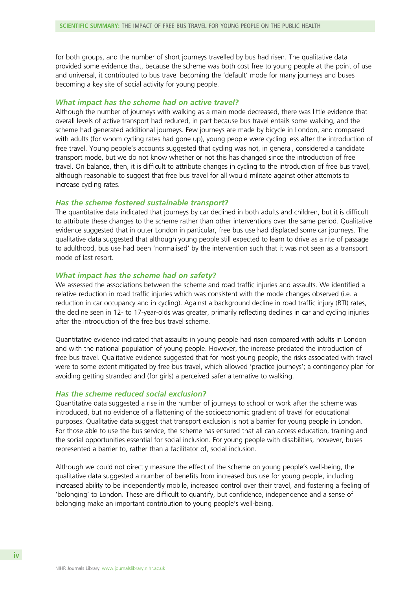for both groups, and the number of short journeys travelled by bus had risen. The qualitative data provided some evidence that, because the scheme was both cost free to young people at the point of use and universal, it contributed to bus travel becoming the 'default' mode for many journeys and buses becoming a key site of social activity for young people.

#### What impact has the scheme had on active travel?

Although the number of journeys with walking as a main mode decreased, there was little evidence that overall levels of active transport had reduced, in part because bus travel entails some walking, and the scheme had generated additional journeys. Few journeys are made by bicycle in London, and compared with adults (for whom cycling rates had gone up), young people were cycling less after the introduction of free travel. Young people's accounts suggested that cycling was not, in general, considered a candidate transport mode, but we do not know whether or not this has changed since the introduction of free travel. On balance, then, it is difficult to attribute changes in cycling to the introduction of free bus travel, although reasonable to suggest that free bus travel for all would militate against other attempts to increase cycling rates.

#### Has the scheme fostered sustainable transport?

The quantitative data indicated that journeys by car declined in both adults and children, but it is difficult to attribute these changes to the scheme rather than other interventions over the same period. Qualitative evidence suggested that in outer London in particular, free bus use had displaced some car journeys. The qualitative data suggested that although young people still expected to learn to drive as a rite of passage to adulthood, bus use had been 'normalised' by the intervention such that it was not seen as a transport mode of last resort.

#### What impact has the scheme had on safety?

We assessed the associations between the scheme and road traffic injuries and assaults. We identified a relative reduction in road traffic injuries which was consistent with the mode changes observed (i.e. a reduction in car occupancy and in cycling). Against a background decline in road traffic injury (RTI) rates, the decline seen in 12- to 17-year-olds was greater, primarily reflecting declines in car and cycling injuries after the introduction of the free bus travel scheme.

Quantitative evidence indicated that assaults in young people had risen compared with adults in London and with the national population of young people. However, the increase predated the introduction of free bus travel. Qualitative evidence suggested that for most young people, the risks associated with travel were to some extent mitigated by free bus travel, which allowed 'practice journeys'; a contingency plan for avoiding getting stranded and (for girls) a perceived safer alternative to walking.

#### Has the scheme reduced social exclusion?

Quantitative data suggested a rise in the number of journeys to school or work after the scheme was introduced, but no evidence of a flattening of the socioeconomic gradient of travel for educational purposes. Qualitative data suggest that transport exclusion is not a barrier for young people in London. For those able to use the bus service, the scheme has ensured that all can access education, training and the social opportunities essential for social inclusion. For young people with disabilities, however, buses represented a barrier to, rather than a facilitator of, social inclusion.

Although we could not directly measure the effect of the scheme on young people's well-being, the qualitative data suggested a number of benefits from increased bus use for young people, including increased ability to be independently mobile, increased control over their travel, and fostering a feeling of 'belonging' to London. These are difficult to quantify, but confidence, independence and a sense of belonging make an important contribution to young people's well-being.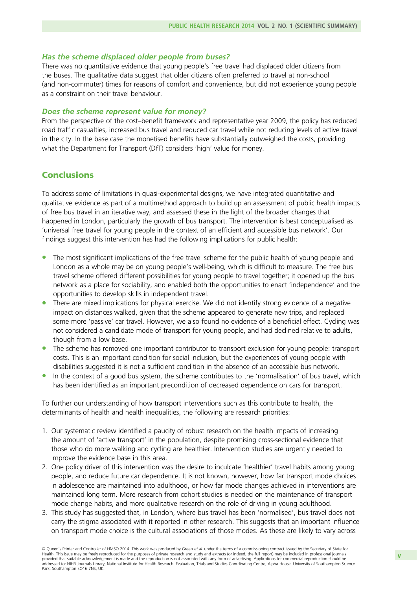#### Has the scheme displaced older people from buses?

There was no quantitative evidence that young people's free travel had displaced older citizens from the buses. The qualitative data suggest that older citizens often preferred to travel at non-school (and non-commuter) times for reasons of comfort and convenience, but did not experience young people as a constraint on their travel behaviour.

#### Does the scheme represent value for money?

From the perspective of the cost–benefit framework and representative year 2009, the policy has reduced road traffic casualties, increased bus travel and reduced car travel while not reducing levels of active travel in the city. In the base case the monetised benefits have substantially outweighed the costs, providing what the Department for Transport (DfT) considers 'high' value for money.

## **Conclusions**

To address some of limitations in quasi-experimental designs, we have integrated quantitative and qualitative evidence as part of a multimethod approach to build up an assessment of public health impacts of free bus travel in an iterative way, and assessed these in the light of the broader changes that happened in London, particularly the growth of bus transport. The intervention is best conceptualised as 'universal free travel for young people in the context of an efficient and accessible bus network'. Our findings suggest this intervention has had the following implications for public health:

- The most significant implications of the free travel scheme for the public health of young people and London as a whole may be on young people's well-being, which is difficult to measure. The free bus travel scheme offered different possibilities for young people to travel together; it opened up the bus network as a place for sociability, and enabled both the opportunities to enact 'independence' and the opportunities to develop skills in independent travel.
- **•** There are mixed implications for physical exercise. We did not identify strong evidence of a negative impact on distances walked, given that the scheme appeared to generate new trips, and replaced some more 'passive' car travel. However, we also found no evidence of a beneficial effect. Cycling was not considered a candidate mode of transport for young people, and had declined relative to adults, though from a low base.
- The scheme has removed one important contributor to transport exclusion for young people: transport costs. This is an important condition for social inclusion, but the experiences of young people with disabilities suggested it is not a sufficient condition in the absence of an accessible bus network.
- In the context of a good bus system, the scheme contributes to the 'normalisation' of bus travel, which has been identified as an important precondition of decreased dependence on cars for transport.

To further our understanding of how transport interventions such as this contribute to health, the determinants of health and health inequalities, the following are research priorities:

- 1. Our systematic review identified a paucity of robust research on the health impacts of increasing the amount of 'active transport' in the population, despite promising cross-sectional evidence that those who do more walking and cycling are healthier. Intervention studies are urgently needed to improve the evidence base in this area.
- 2. One policy driver of this intervention was the desire to inculcate 'healthier' travel habits among young people, and reduce future car dependence. It is not known, however, how far transport mode choices in adolescence are maintained into adulthood, or how far mode changes achieved in interventions are maintained long term. More research from cohort studies is needed on the maintenance of transport mode change habits, and more qualitative research on the role of driving in young adulthood.
- 3. This study has suggested that, in London, where bus travel has been 'normalised', bus travel does not carry the stigma associated with it reported in other research. This suggests that an important influence on transport mode choice is the cultural associations of those modes. As these are likely to vary across

<sup>©</sup> Queen's Printer and Controller of HMSO 2014. This work was produced by Green et al. under the terms of a commissioning contract issued by the Secretary of State for Health. This issue may be freely reproduced for the purposes of private research and study and extracts (or indeed, the full report) may be included in professional journals provided that suitable acknowledgement is made and the reproduction is not associated with any form of advertising. Applications for commercial reproduction should be addressed to: NIHR Journals Library, National Institute for Health Research, Evaluation, Trials and Studies Coordinating Centre, Alpha House, University of Southampton Science Park, Southampton SO16 7NS, UK.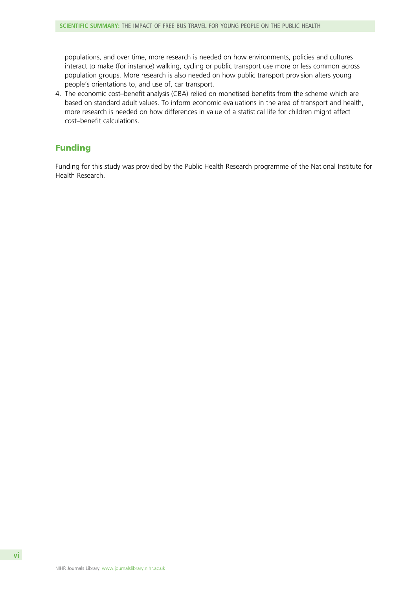populations, and over time, more research is needed on how environments, policies and cultures interact to make (for instance) walking, cycling or public transport use more or less common across population groups. More research is also needed on how public transport provision alters young people's orientations to, and use of, car transport.

4. The economic cost–benefit analysis (CBA) relied on monetised benefits from the scheme which are based on standard adult values. To inform economic evaluations in the area of transport and health, more research is needed on how differences in value of a statistical life for children might affect cost–benefit calculations.

## Funding

Funding for this study was provided by the Public Health Research programme of the National Institute for Health Research.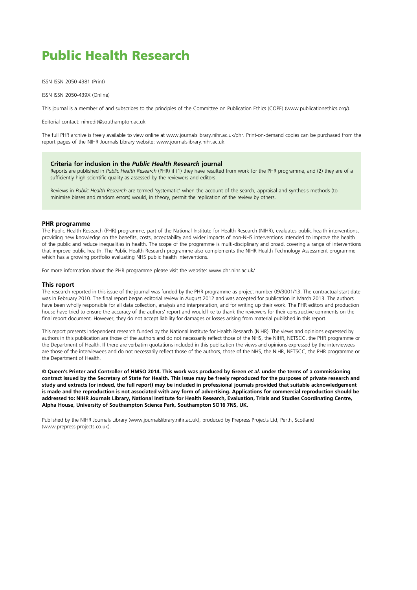# Public Health Research

ISSN ISSN 2050-4381 (Print)

ISSN ISSN 2050-439X (Online)

This journal is a member of and subscribes to the principles of the Committee on Publication Ethics (COPE) (www.publicationethics.org/).

Editorial contact: nihredit@southampton.ac.uk

The full PHR archive is freely available to view online at www.journalslibrary.nihr.ac.uk/phr. Print-on-demand copies can be purchased from the report pages of the NIHR Journals Library website: www.journalslibrary.nihr.ac.uk

### Criteria for inclusion in the Public Health Research journal

Reports are published in Public Health Research (PHR) if (1) they have resulted from work for the PHR programme, and (2) they are of a sufficiently high scientific quality as assessed by the reviewers and editors.

Reviews in Public Health Research are termed 'systematic' when the account of the search, appraisal and synthesis methods (to minimise biases and random errors) would, in theory, permit the replication of the review by others.

#### PHR programme

The Public Health Research (PHR) programme, part of the National Institute for Health Research (NIHR), evaluates public health interventions, providing new knowledge on the benefits, costs, acceptability and wider impacts of non-NHS interventions intended to improve the health of the public and reduce inequalities in health. The scope of the programme is multi-disciplinary and broad, covering a range of interventions that improve public health. The Public Health Research programme also complements the NIHR Health Technology Assessment programme which has a growing portfolio evaluating NHS public health interventions.

For more information about the PHR programme please visit the website: www.phr.nihr.ac.uk/

#### This report

The research reported in this issue of the journal was funded by the PHR programme as project number 09/3001/13. The contractual start date was in February 2010. The final report began editorial review in August 2012 and was accepted for publication in March 2013. The authors have been wholly responsible for all data collection, analysis and interpretation, and for writing up their work. The PHR editors and production house have tried to ensure the accuracy of the authors' report and would like to thank the reviewers for their constructive comments on the final report document. However, they do not accept liability for damages or losses arising from material published in this report.

This report presents independent research funded by the National Institute for Health Research (NIHR). The views and opinions expressed by authors in this publication are those of the authors and do not necessarily reflect those of the NHS, the NIHR, NETSCC, the PHR programme or the Department of Health. If there are verbatim quotations included in this publication the views and opinions expressed by the interviewees are those of the interviewees and do not necessarily reflect those of the authors, those of the NHS, the NIHR, NETSCC, the PHR programme or the Department of Health.

© Queen's Printer and Controller of HMSO 2014. This work was produced by Green et al. under the terms of a commissioning contract issued by the Secretary of State for Health. This issue may be freely reproduced for the purposes of private research and study and extracts (or indeed, the full report) may be included in professional journals provided that suitable acknowledgement is made and the reproduction is not associated with any form of advertising. Applications for commercial reproduction should be addressed to: NIHR Journals Library, National Institute for Health Research, Evaluation, Trials and Studies Coordinating Centre, Alpha House, University of Southampton Science Park, Southampton SO16 7NS, UK.

Published by the NIHR Journals Library (www.journalslibrary.nihr.ac.uk), produced by Prepress Projects Ltd, Perth, Scotland (www.prepress-projects.co.uk).